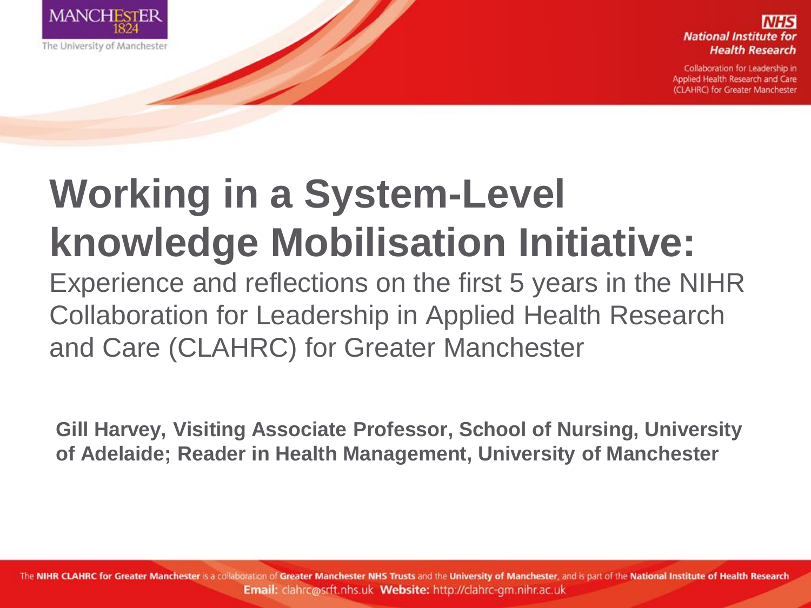

**National Institute for Health Research** 

Collaboration for Leadership in Applied Health Research and Care (CLAHRC) for Greater Manchester

#### **Working in a System-Level knowledge Mobilisation Initiative:**

Experience and reflections on the first 5 years in the NIHR Collaboration for Leadership in Applied Health Research and Care (CLAHRC) for Greater Manchester

**Gill Harvey, Visiting Associate Professor, School of Nursing, University of Adelaide; Reader in Health Management, University of Manchester**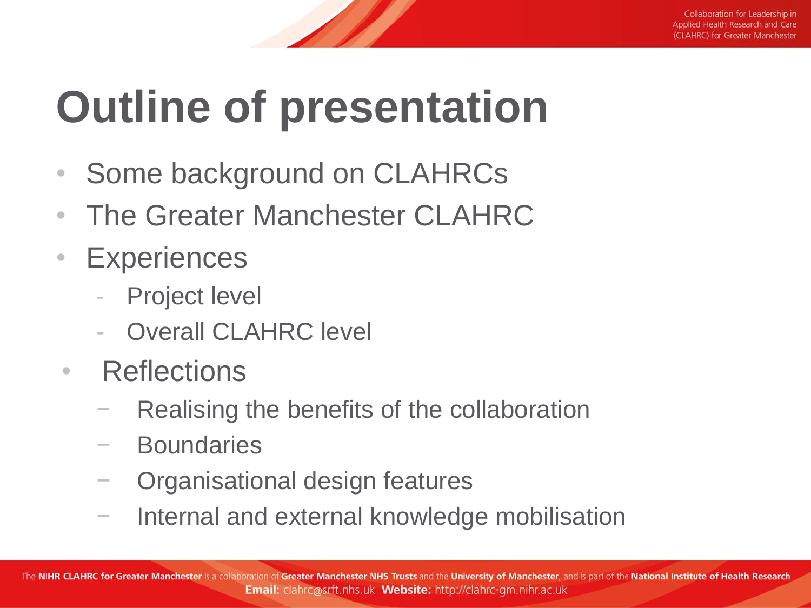# **Outline of presentation**

- Some background on CLAHRCs
- The Greater Manchester CLAHRC
- Experiences
	- Project level
	- **Overall CLAHRC level**
- Reflections
	- Realising the benefits of the collaboration
	- **Boundaries**
	- − Organisational design features
	- − Internal and external knowledge mobilisation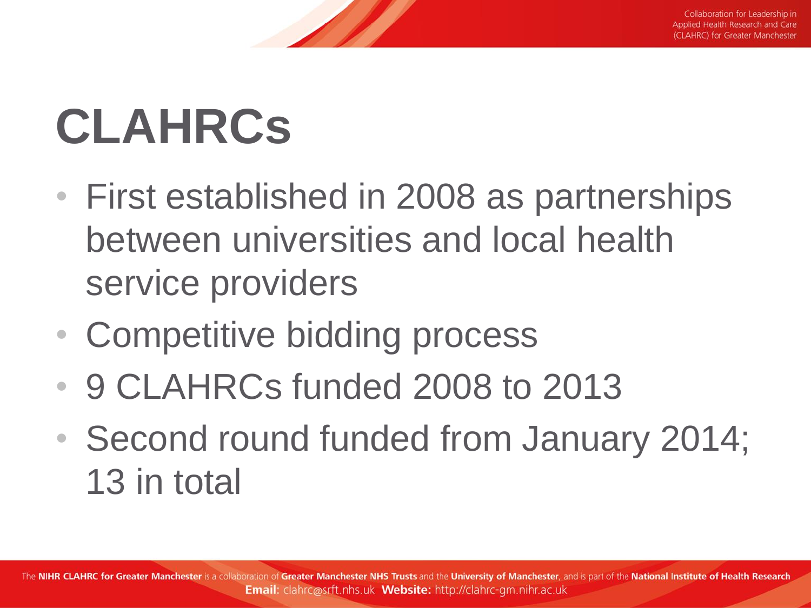# **CLAHRCs**

- First established in 2008 as partnerships between universities and local health service providers
- Competitive bidding process
- 9 CLAHRCs funded 2008 to 2013
- Second round funded from January 2014; 13 in total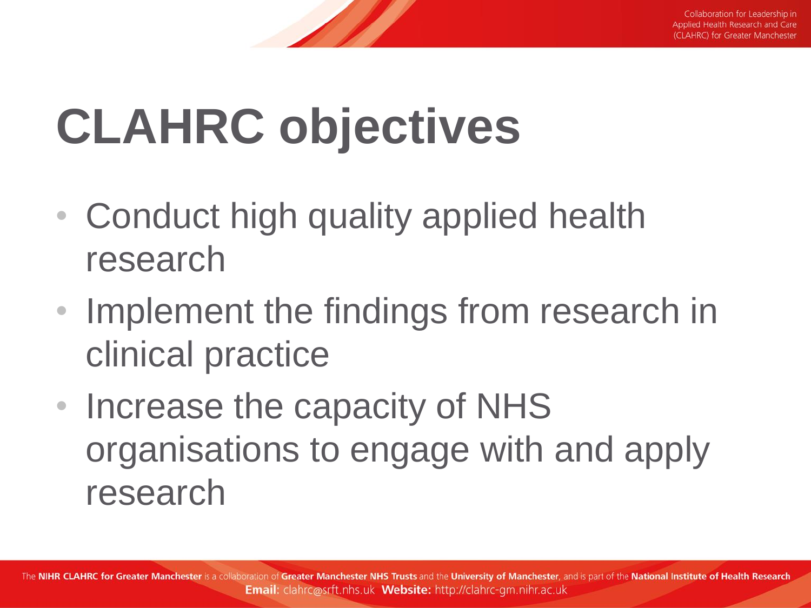# **CLAHRC objectives**

- Conduct high quality applied health research
- Implement the findings from research in clinical practice
- Increase the capacity of NHS organisations to engage with and apply research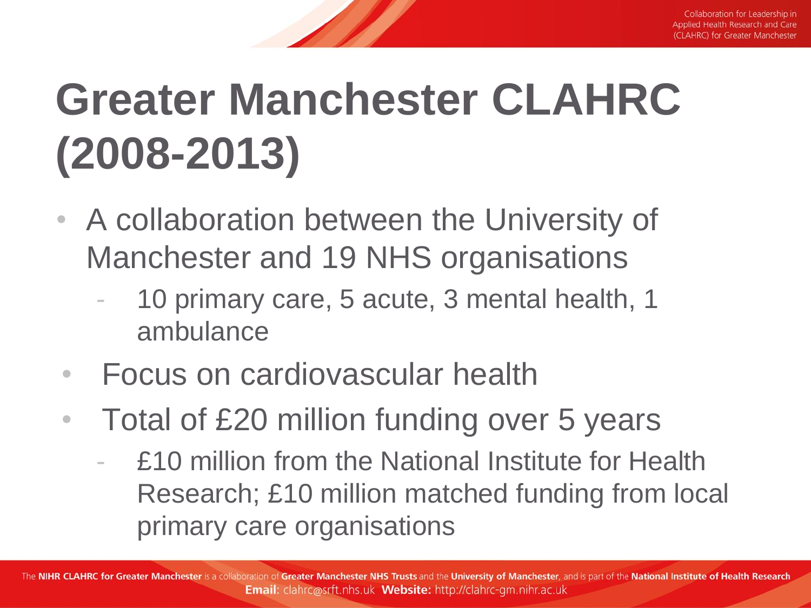# **Greater Manchester CLAHRC (2008-2013)**

- A collaboration between the University of Manchester and 19 NHS organisations
	- 10 primary care, 5 acute, 3 mental health, 1 ambulance
- Focus on cardiovascular health
- Total of £20 million funding over 5 years
	- £10 million from the National Institute for Health Research; £10 million matched funding from local primary care organisations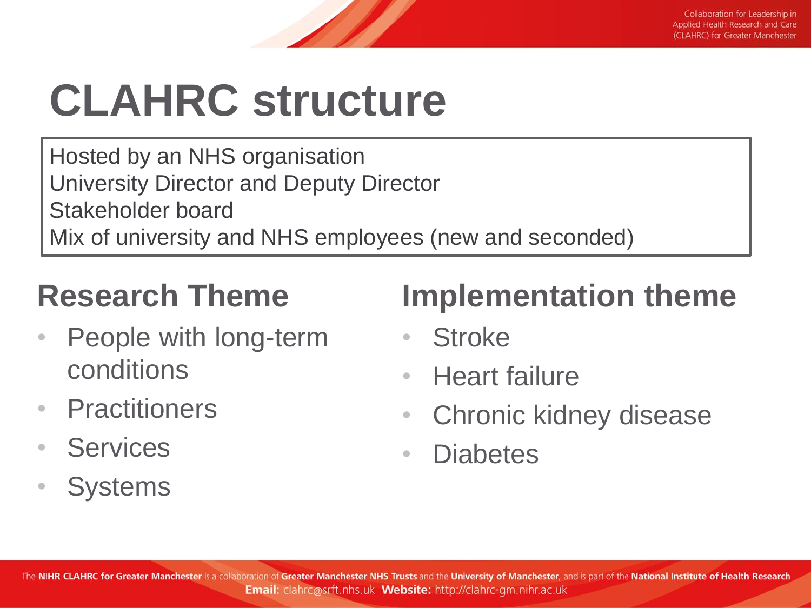## **CLAHRC structure**

Hosted by an NHS organisation University Director and Deputy Director Stakeholder board Mix of university and NHS employees (new and seconded)

#### **Research Theme**

- People with long-term conditions
- Practitioners
- Services
- Systems

#### **Implementation theme**

- Stroke
- Heart failure
- Chronic kidney disease
- Diabetes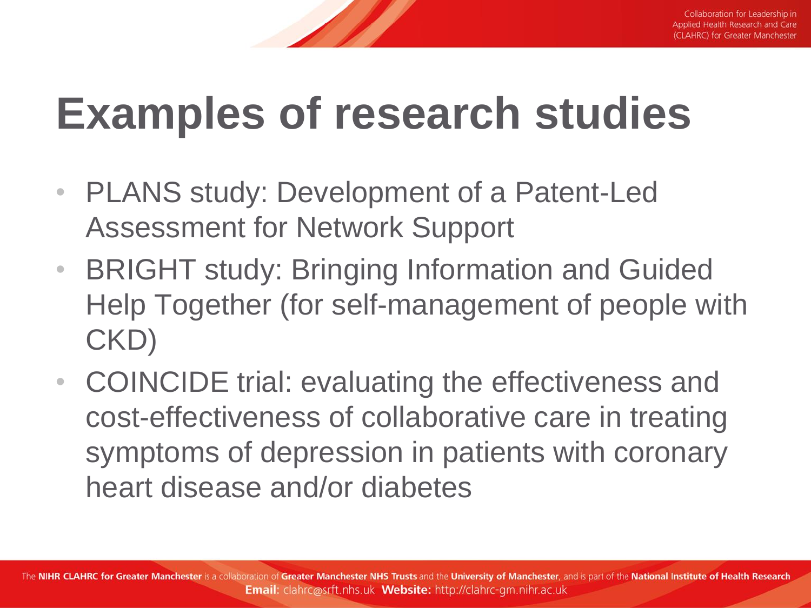#### **Examples of research studies**

- PLANS study: Development of a Patent-Led Assessment for Network Support
- BRIGHT study: Bringing Information and Guided Help Together (for self-management of people with CKD)
- COINCIDE trial: evaluating the effectiveness and cost-effectiveness of collaborative care in treating symptoms of depression in patients with coronary heart disease and/or diabetes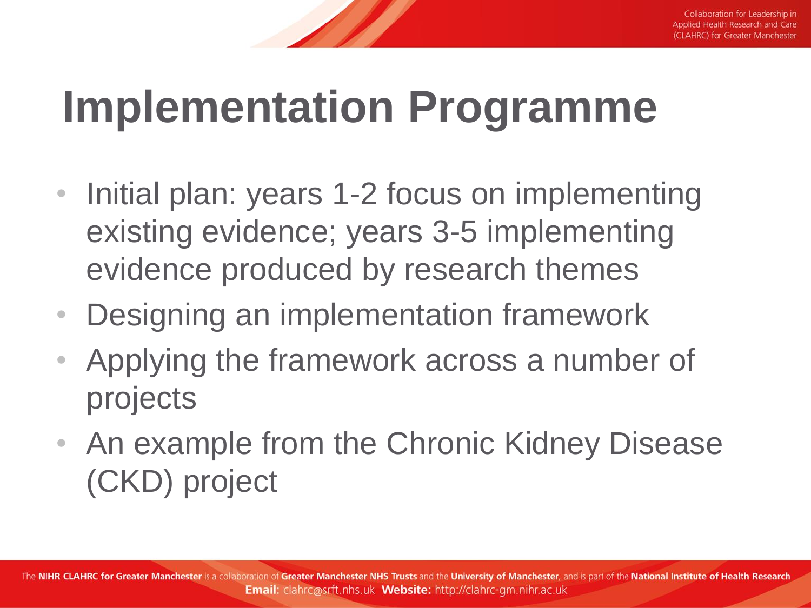### **Implementation Programme**

- Initial plan: years 1-2 focus on implementing existing evidence; years 3-5 implementing evidence produced by research themes
- Designing an implementation framework
- Applying the framework across a number of projects
- An example from the Chronic Kidney Disease (CKD) project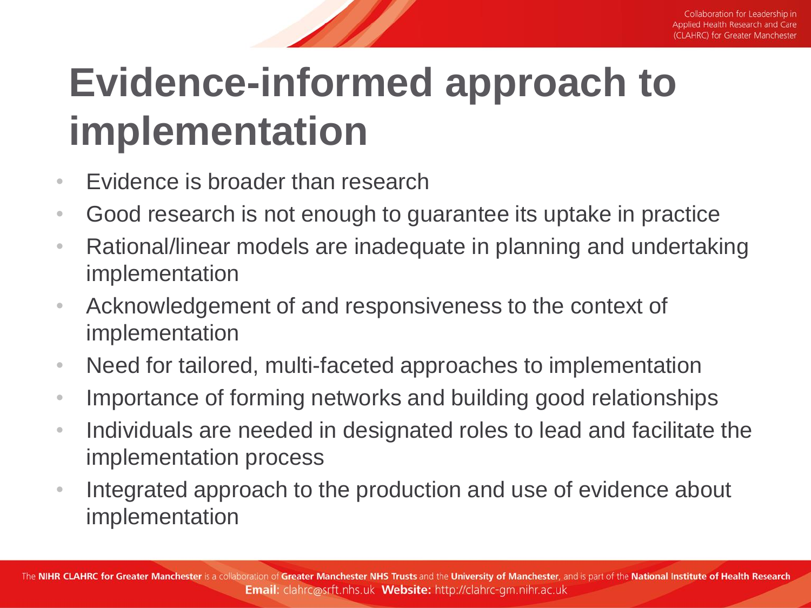#### **Evidence-informed approach to implementation**

- Evidence is broader than research
- Good research is not enough to guarantee its uptake in practice
- Rational/linear models are inadequate in planning and undertaking implementation
- Acknowledgement of and responsiveness to the context of implementation
- Need for tailored, multi-faceted approaches to implementation
- Importance of forming networks and building good relationships
- Individuals are needed in designated roles to lead and facilitate the implementation process
- Integrated approach to the production and use of evidence about implementation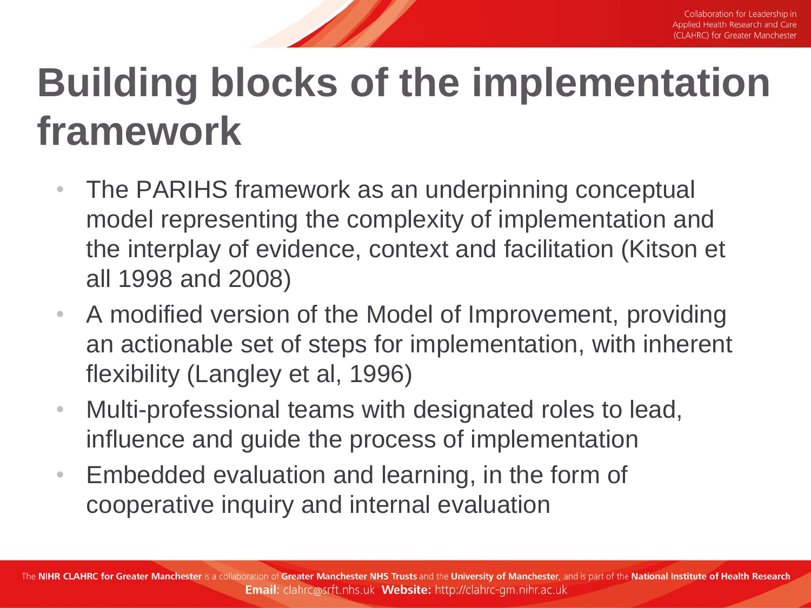#### **Building blocks of the implementation framework**

- The PARIHS framework as an underpinning conceptual model representing the complexity of implementation and the interplay of evidence, context and facilitation (Kitson et all 1998 and 2008)
- A modified version of the Model of Improvement, providing an actionable set of steps for implementation, with inherent flexibility (Langley et al, 1996)
- Multi-professional teams with designated roles to lead, influence and guide the process of implementation
- Embedded evaluation and learning, in the form of cooperative inquiry and internal evaluation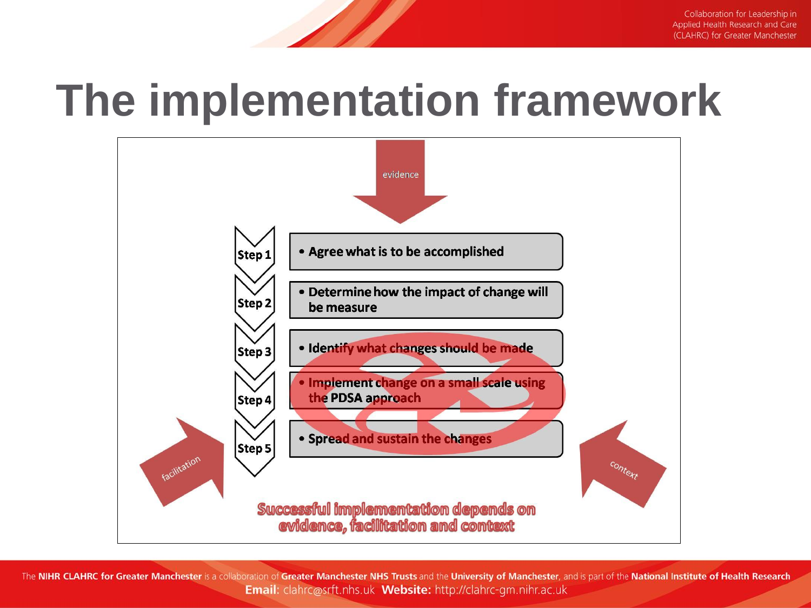#### **The implementation framework**

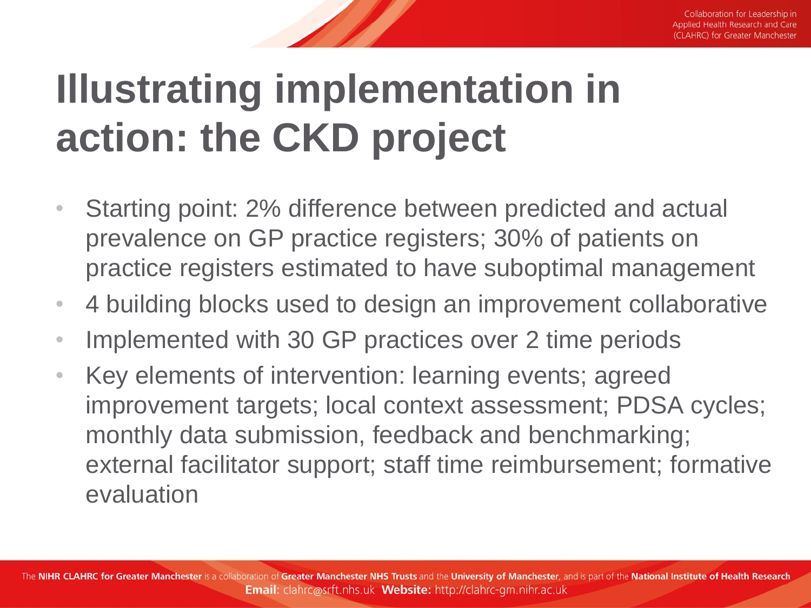#### **Illustrating implementation in action: the CKD project**

- Starting point: 2% difference between predicted and actual prevalence on GP practice registers; 30% of patients on practice registers estimated to have suboptimal management
- 4 building blocks used to design an improvement collaborative
- Implemented with 30 GP practices over 2 time periods
- Key elements of intervention: learning events; agreed improvement targets; local context assessment; PDSA cycles; monthly data submission, feedback and benchmarking; external facilitator support; staff time reimbursement; formative evaluation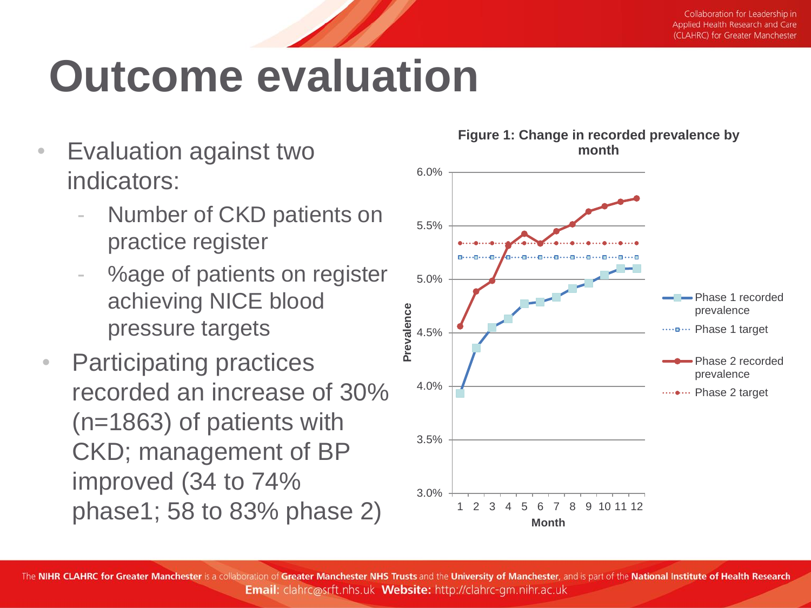### **Outcome evaluation**

- Evaluation against two indicators:
	- Number of CKD patients on practice register
	- %age of patients on register achieving NICE blood pressure targets
- Participating practices recorded an increase of 30% (n=1863) of patients with CKD; management of BP improved (34 to 74% phase1; 58 to 83% phase 2)

**Figure 1: Change in recorded prevalence by month**

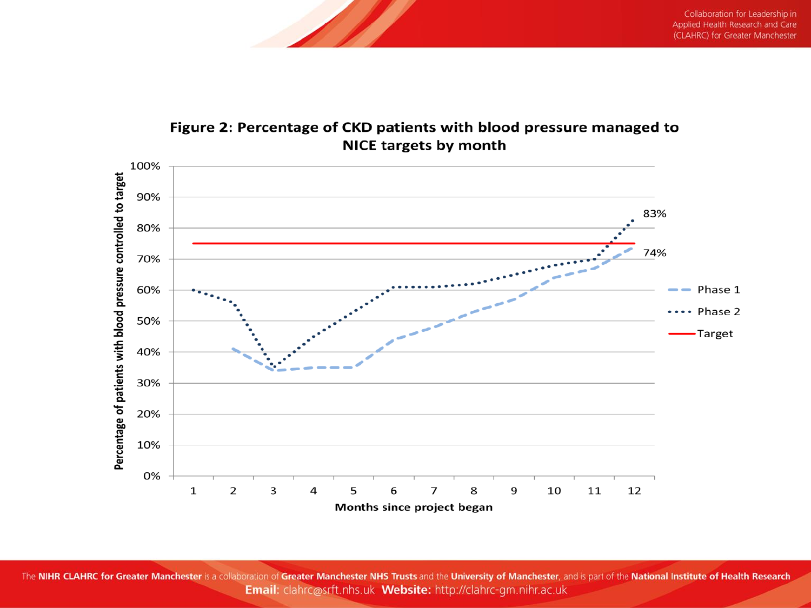

#### Figure 2: Percentage of CKD patients with blood pressure managed to **NICE targets by month**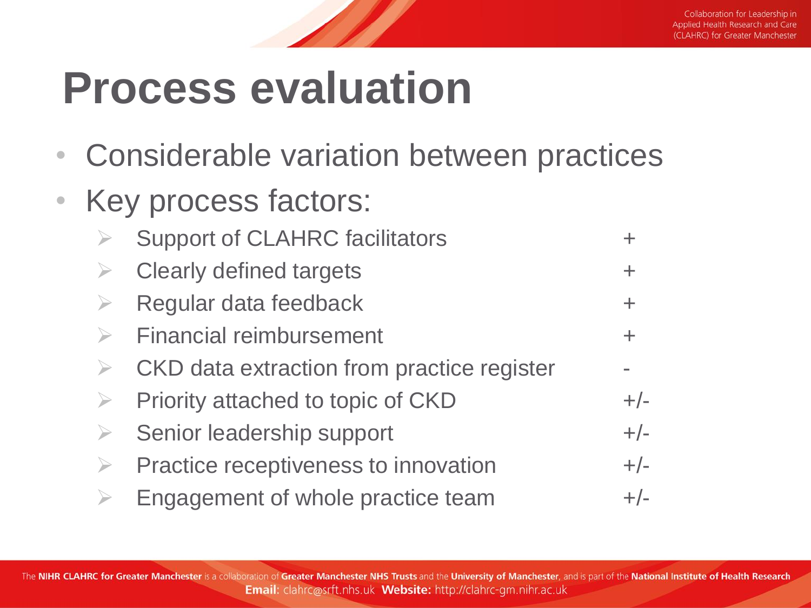#### **Process evaluation**

- Considerable variation between practices
- Key process factors:

|                  | <b>Support of CLAHRC facilitators</b>      |       |
|------------------|--------------------------------------------|-------|
| $\geq$           | <b>Clearly defined targets</b>             | $\pm$ |
|                  | Regular data feedback                      | $\pm$ |
|                  | <b>Financial reimbursement</b>             | $\pm$ |
| $\rightarrow$    | CKD data extraction from practice register |       |
|                  | Priority attached to topic of CKD          | $+/-$ |
| $\rightarrow$    | Senior leadership support                  | $+/-$ |
| $\triangleright$ | Practice receptiveness to innovation       | $+/-$ |
|                  | Engagement of whole practice team          | $+/-$ |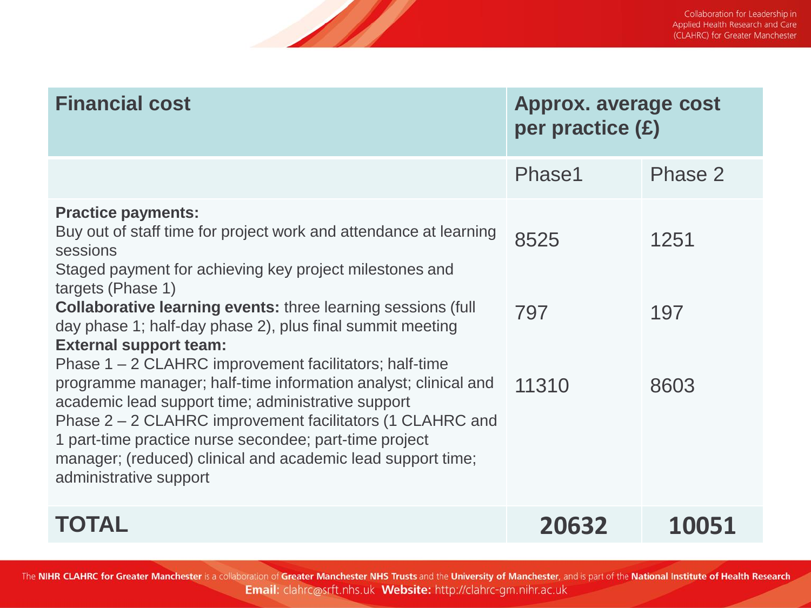| <b>Financial cost</b>                                                                                                                                                                                                                                                                                                                                                                                                                                                                                                                                                                                                                                                                                                                                             | <b>Approx. average cost</b><br>per practice (£) |                     |
|-------------------------------------------------------------------------------------------------------------------------------------------------------------------------------------------------------------------------------------------------------------------------------------------------------------------------------------------------------------------------------------------------------------------------------------------------------------------------------------------------------------------------------------------------------------------------------------------------------------------------------------------------------------------------------------------------------------------------------------------------------------------|-------------------------------------------------|---------------------|
|                                                                                                                                                                                                                                                                                                                                                                                                                                                                                                                                                                                                                                                                                                                                                                   | Phase1                                          | Phase 2             |
| <b>Practice payments:</b><br>Buy out of staff time for project work and attendance at learning<br>sessions<br>Staged payment for achieving key project milestones and<br>targets (Phase 1)<br><b>Collaborative learning events: three learning sessions (full</b><br>day phase 1; half-day phase 2), plus final summit meeting<br><b>External support team:</b><br>Phase 1 – 2 CLAHRC improvement facilitators; half-time<br>programme manager; half-time information analyst; clinical and<br>academic lead support time; administrative support<br>Phase 2 – 2 CLAHRC improvement facilitators (1 CLAHRC and<br>1 part-time practice nurse secondee; part-time project<br>manager; (reduced) clinical and academic lead support time;<br>administrative support | 8525<br>797<br>11310                            | 1251<br>197<br>8603 |
| TOTAL                                                                                                                                                                                                                                                                                                                                                                                                                                                                                                                                                                                                                                                                                                                                                             | 20632                                           | 10051               |

**AB**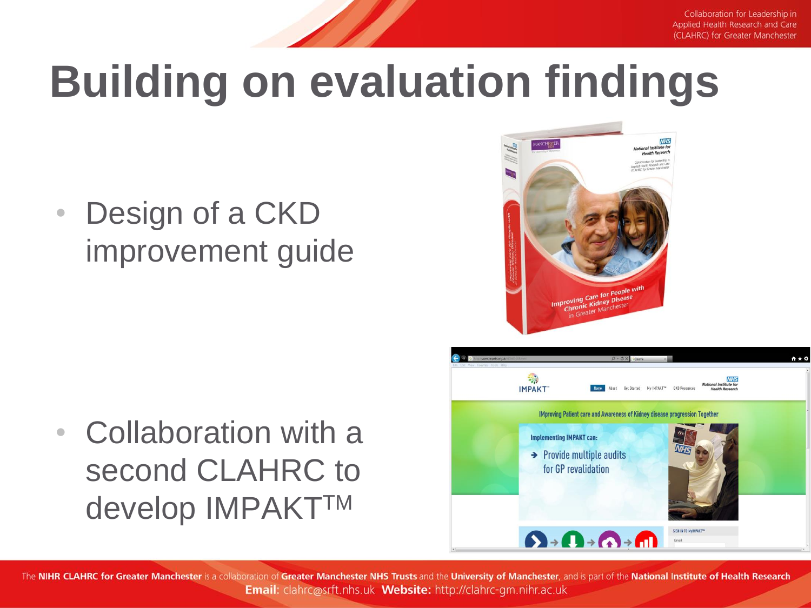Collaboration for Leadership in Applied Health Research and Care (CLAHRC) for Greater Manchester

# **Building on evaluation findings**

• Design of a CKD improvement guide

• Collaboration with a second CLAHRC to develop IMPAKTTM



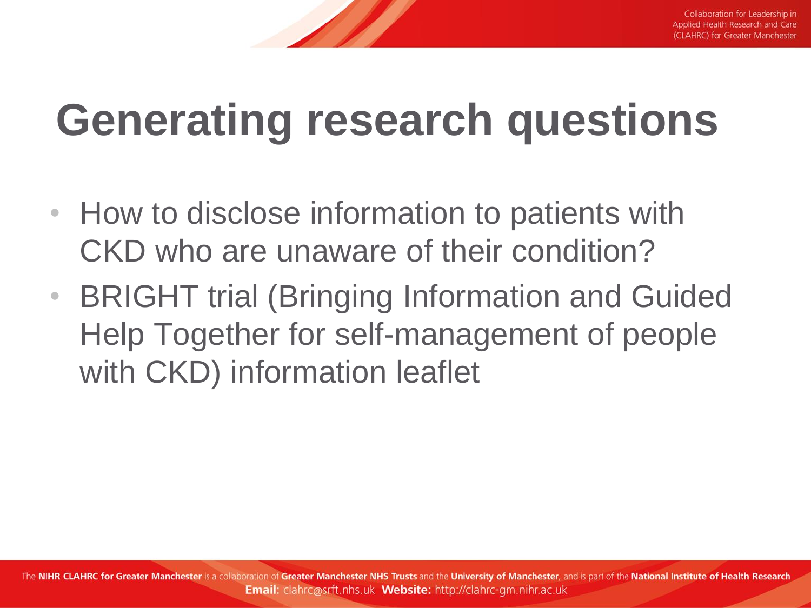#### **Generating research questions**

- How to disclose information to patients with CKD who are unaware of their condition?
- BRIGHT trial (Bringing Information and Guided Help Together for self-management of people with CKD) information leaflet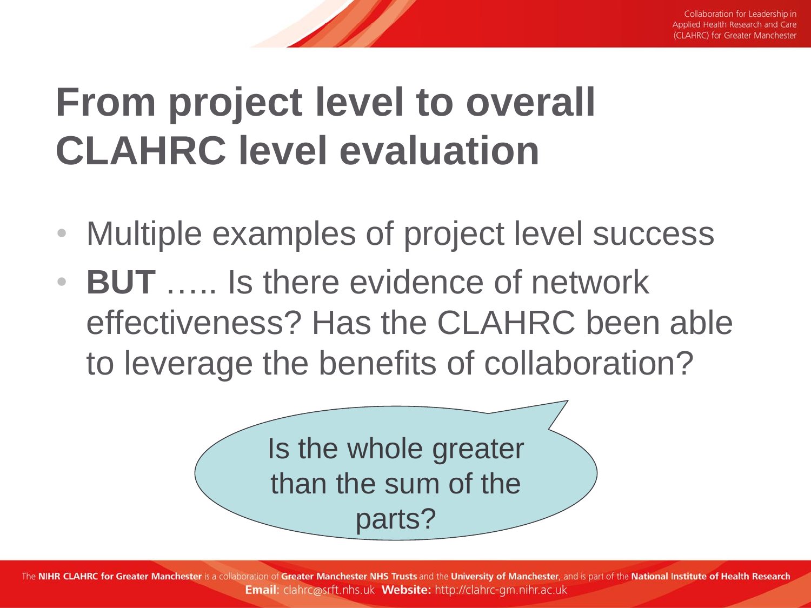#### **From project level to overall CLAHRC level evaluation**

- Multiple examples of project level success
- **BUT** ….. Is there evidence of network effectiveness? Has the CLAHRC been able to leverage the benefits of collaboration?

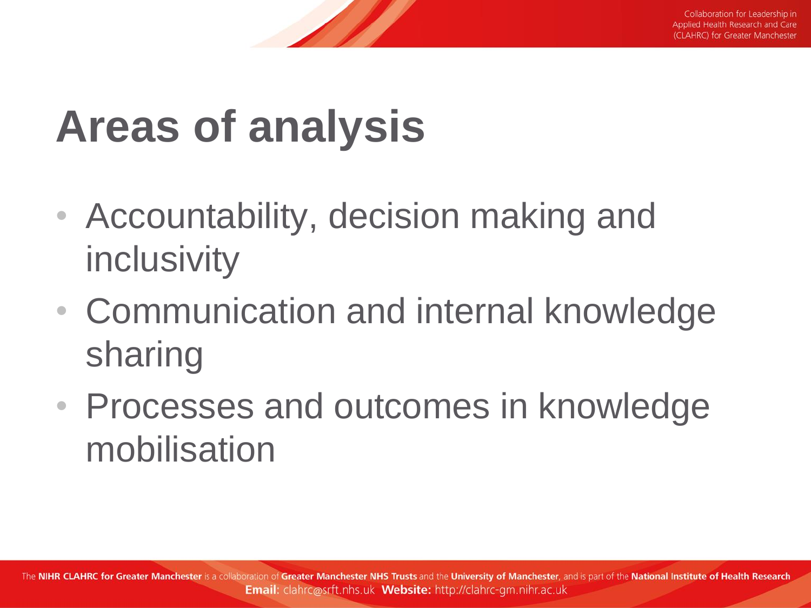## **Areas of analysis**

- Accountability, decision making and inclusivity
- Communication and internal knowledge sharing
- Processes and outcomes in knowledge mobilisation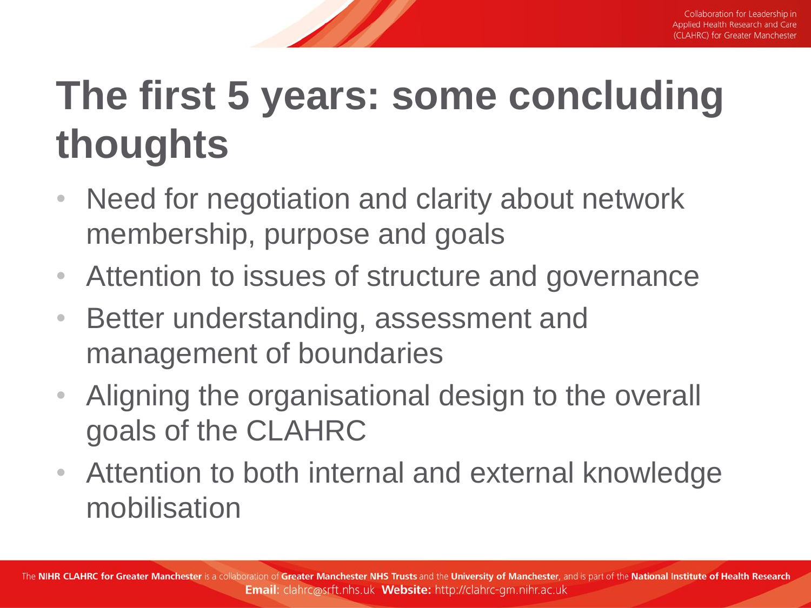#### **The first 5 years: some concluding thoughts**

- Need for negotiation and clarity about network membership, purpose and goals
- Attention to issues of structure and governance
- Better understanding, assessment and management of boundaries
- Aligning the organisational design to the overall goals of the CLAHRC
- Attention to both internal and external knowledge mobilisation